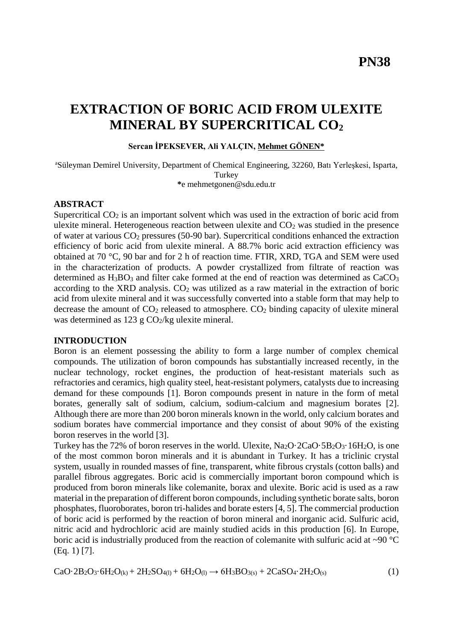# **EXTRACTION OF BORIC ACID FROM ULEXITE MINERAL BY SUPERCRITICAL CO<sup>2</sup>**

### **Sercan İPEKSEVER, Ali YALÇIN, Mehmet GÖNEN\***

<sup>a</sup>Süleyman Demirel University, Department of Chemical Engineering, 32260, Batı Yerleşkesi, Isparta, **Turkey \***e [mehmetgonen@sdu.edu.tr](mailto:mehmetgonen@sdu.edu.tr)

### **ABSTRACT**

Supercritical  $CO<sub>2</sub>$  is an important solvent which was used in the extraction of boric acid from ulexite mineral. Heterogeneous reaction between ulexite and  $CO<sub>2</sub>$  was studied in the presence of water at various CO<sup>2</sup> pressures (50-90 bar). Supercritical conditions enhanced the extraction efficiency of boric acid from ulexite mineral. A 88.7% boric acid extraction efficiency was obtained at 70 °C, 90 bar and for 2 h of reaction time. FTIR, XRD, TGA and SEM were used in the characterization of products. A powder crystallized from filtrate of reaction was determined as  $H_3BO_3$  and filter cake formed at the end of reaction was determined as  $CaCO_3$ according to the XRD analysis.  $CO<sub>2</sub>$  was utilized as a raw material in the extraction of boric acid from ulexite mineral and it was successfully converted into a stable form that may help to decrease the amount of  $CO<sub>2</sub>$  released to atmosphere.  $CO<sub>2</sub>$  binding capacity of ulexite mineral was determined as  $123 \text{ g } CO_2/\text{kg}$  ulexite mineral.

#### **INTRODUCTION**

Boron is an element possessing the ability to form a large number of complex chemical compounds. The utilization of boron compounds has substantially increased recently, in the nuclear technology, rocket engines, the production of heat-resistant materials such as refractories and ceramics, high quality steel, heat-resistant polymers, catalysts due to increasing demand for these compounds [1]. Boron compounds present in nature in the form of metal borates, generally salt of sodium, calcium, sodium-calcium and magnesium borates [2]. Although there are more than 200 boron minerals known in the world, only calcium borates and sodium borates have commercial importance and they consist of about 90% of the existing boron reserves in the world [3].

Turkey has the 72% of boron reserves in the world. Ulexite,  $Na_2O \cdot 2CaO \cdot 5B_2O_3 \cdot 16H_2O$ , is one of the most common boron minerals and it is abundant in Turkey. It has a triclinic crystal system, usually in rounded masses of fine, transparent, white fibrous crystals (cotton balls) and parallel fibrous aggregates. Boric acid is commercially important boron compound which is produced from boron minerals like colemanite, borax and ulexite. Boric acid is used as a raw material in the preparation of different boron compounds, including synthetic borate salts, boron phosphates, fluoroborates, boron tri-halides and borate esters [4, 5]. The commercial production of boric acid is performed by the reaction of boron mineral and inorganic acid. Sulfuric acid, nitric acid and hydrochloric acid are mainly studied acids in this production [6]. In Europe, boric acid is industrially produced from the reaction of colemanite with sulfuric acid at  $\sim$ 90 °C (Eq. 1) [7].

$$
CaO·2B2O3·6H2O(k) + 2H2SO4(1) + 6H2O(l) \rightarrow 6H3BO3(s) + 2CaSO4·2H2O(s)
$$
\n(1)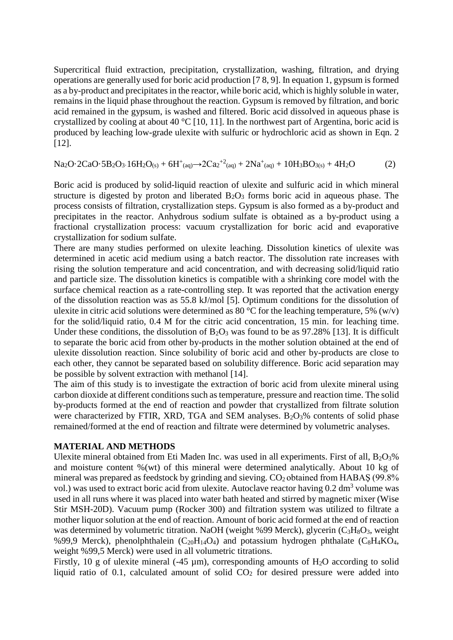Supercritical fluid extraction, precipitation, crystallization, washing, filtration, and drying operations are generally used for boric acid production [7 8, 9]. In equation 1, gypsum is formed as a by-product and precipitates in the reactor, while boric acid, which is highly soluble in water, remains in the liquid phase throughout the reaction. Gypsum is removed by filtration, and boric acid remained in the gypsum, is washed and filtered. Boric acid dissolved in aqueous phase is crystallized by cooling at about 40 °C [10, 11]. In the northwest part of Argentina, boric acid is produced by leaching low-grade ulexite with sulfuric or hydrochloric acid as shown in Eqn. 2 [12].

 $Na_2O \cdot 2CaO \cdot 5B_2O_3 \cdot 16H_2O_{(s)} + 6H^+_{(aq)} \rightarrow 2Ca_2^{+2}(aq) + 2Na^+(aq) + 10H_3BO_{3(s)} + 4H_2O$  (2)

Boric acid is produced by solid-liquid reaction of ulexite and sulfuric acid in which mineral structure is digested by proton and liberated  $B_2O_3$  forms boric acid in aqueous phase. The process consists of filtration, crystallization steps. Gypsum is also formed as a by-product and precipitates in the reactor. Anhydrous sodium sulfate is obtained as a by-product using a fractional crystallization process: vacuum crystallization for boric acid and evaporative crystallization for sodium sulfate.

There are many studies performed on ulexite leaching. Dissolution kinetics of ulexite was determined in acetic acid medium using a batch reactor. The dissolution rate increases with rising the solution temperature and acid concentration, and with decreasing solid/liquid ratio and particle size. The dissolution kinetics is compatible with a shrinking core model with the surface chemical reaction as a rate-controlling step. It was reported that the activation energy of the dissolution reaction was as 55.8 kJ/mol [5]. Optimum conditions for the dissolution of ulexite in citric acid solutions were determined as 80 °C for the leaching temperature, 5% (w/v) for the solid/liquid ratio, 0.4 M for the citric acid concentration, 15 min. for leaching time. Under these conditions, the dissolution of  $B_2O_3$  was found to be as 97.28% [13]. It is difficult to separate the boric acid from other by-products in the mother solution obtained at the end of ulexite dissolution reaction. Since solubility of boric acid and other by-products are close to each other, they cannot be separated based on solubility difference. Boric acid separation may be possible by solvent extraction with methanol [14].

The aim of this study is to investigate the extraction of boric acid from ulexite mineral using carbon dioxide at different conditions such as temperature, pressure and reaction time. The solid by-products formed at the end of reaction and powder that crystallized from filtrate solution were characterized by FTIR, XRD, TGA and SEM analyses.  $B_2O_3\%$  contents of solid phase remained/formed at the end of reaction and filtrate were determined by volumetric analyses.

## **MATERIAL AND METHODS**

Ulexite mineral obtained from Eti Maden Inc. was used in all experiments. First of all, B<sub>2</sub>O<sub>3</sub>% and moisture content %(wt) of this mineral were determined analytically. About 10 kg of mineral was prepared as feedstock by grinding and sieving.  $CO<sub>2</sub>$  obtained from HABAS (99.8%) vol.) was used to extract boric acid from ulexite. Autoclave reactor having  $0.2 \text{ dm}^3$  volume was used in all runs where it was placed into water bath heated and stirred by magnetic mixer (Wise Stir MSH-20D). Vacuum pump (Rocker 300) and filtration system was utilized to filtrate a mother liquor solution at the end of reaction. Amount of boric acid formed at the end of reaction was determined by volumetric titration. NaOH (weight %99 Merck), glycerin  $(C_3H_8O_3$ , weight %99,9 Merck), phenolphthalein  $(C_{20}H_{14}O_4)$  and potassium hydrogen phthalate  $(C_8H_4KO_4)$ , weight %99,5 Merck) were used in all volumetric titrations.

Firstly, 10 g of ulexite mineral (-45  $\mu$ m), corresponding amounts of H<sub>2</sub>O according to solid liquid ratio of 0.1, calculated amount of solid  $CO<sub>2</sub>$  for desired pressure were added into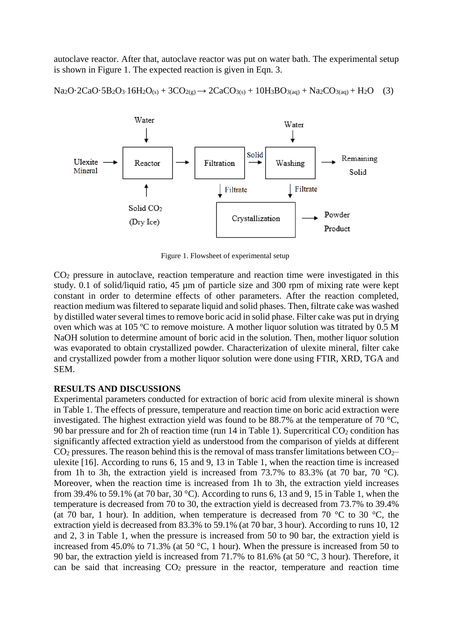autoclave reactor. After that, autoclave reactor was put on water bath. The experimental setup is shown in Figure 1. The expected reaction is given in Eqn. 3.

$$
Na_2O \cdot 2CaO \cdot 5B_2O_3 \cdot 16H_2O_{(s)} + 3CO_{2(g)} \rightarrow 2CaCO_{3(s)} + 10H_3BO_{3(aq)} + Na_2CO_{3(aq)} + H_2O \quad (3)
$$



Figure 1. Flowsheet of experimental setup

CO<sup>2</sup> pressure in autoclave, reaction temperature and reaction time were investigated in this study. 0.1 of solid/liquid ratio, 45 µm of particle size and 300 rpm of mixing rate were kept constant in order to determine effects of other parameters. After the reaction completed, reaction medium was filtered to separate liquid and solid phases. Then, filtrate cake was washed by distilled water several times to remove boric acid in solid phase. Filter cake was put in drying oven which was at 105 ºC to remove moisture. A mother liquor solution was titrated by 0.5 M NaOH solution to determine amount of boric acid in the solution. Then, mother liquor solution was evaporated to obtain crystallized powder. Characterization of ulexite mineral, filter cake and crystallized powder from a mother liquor solution were done using FTIR, XRD, TGA and SEM.

## **RESULTS AND DISCUSSIONS**

Experimental parameters conducted for extraction of boric acid from ulexite mineral is shown in Table 1. The effects of pressure, temperature and reaction time on boric acid extraction were investigated. The highest extraction yield was found to be 88.7% at the temperature of 70  $^{\circ}$ C, 90 bar pressure and for 2h of reaction time (run 14 in Table 1). Supercritical  $CO<sub>2</sub>$  condition has significantly affected extraction yield as understood from the comparison of yields at different  $CO<sub>2</sub>$  pressures. The reason behind this is the removal of mass transfer limitations between  $CO<sub>2</sub>$ ulexite [16]. According to runs 6, 15 and 9, 13 in Table 1, when the reaction time is increased from 1h to 3h, the extraction yield is increased from 73.7% to 83.3% (at 70 bar, 70  $^{\circ}$ C). Moreover, when the reaction time is increased from 1h to 3h, the extraction yield increases from 39.4% to 59.1% (at 70 bar, 30 °C). According to runs 6, 13 and 9, 15 in Table 1, when the temperature is decreased from 70 to 30, the extraction yield is decreased from 73.7% to 39.4% (at 70 bar, 1 hour). In addition, when temperature is decreased from 70  $\degree$ C to 30  $\degree$ C, the extraction yield is decreased from 83.3% to 59.1% (at 70 bar, 3 hour). According to runs 10, 12 and 2, 3 in Table 1, when the pressure is increased from 50 to 90 bar, the extraction yield is increased from 45.0% to 71.3% (at 50 °C, 1 hour). When the pressure is increased from 50 to 90 bar, the extraction yield is increased from 71.7% to 81.6% (at 50 °C, 3 hour). Therefore, it can be said that increasing  $CO<sub>2</sub>$  pressure in the reactor, temperature and reaction time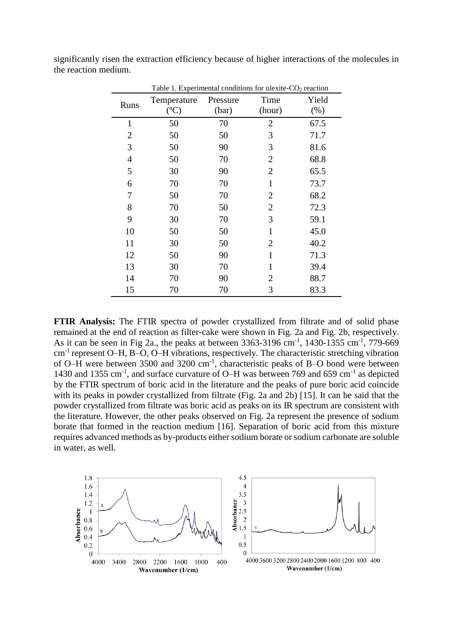| Table 1. Experimental conditions for ulexite-CO <sub>2</sub> reaction |                    |                   |                |                 |
|-----------------------------------------------------------------------|--------------------|-------------------|----------------|-----------------|
| Runs                                                                  | Temperature<br>(C) | Pressure<br>(bar) | Time<br>(hour) | Yield<br>$(\%)$ |
| $\mathbf{1}$                                                          | 50                 | 70                | $\overline{2}$ | 67.5            |
| 2                                                                     | 50                 | 50                | 3              | 71.7            |
| 3                                                                     | 50                 | 90                | 3              | 81.6            |
| $\overline{4}$                                                        | 50                 | 70                | $\overline{2}$ | 68.8            |
| 5                                                                     | 30                 | 90                | 2              | 65.5            |
| 6                                                                     | 70                 | 70                | $\mathbf{1}$   | 73.7            |
| 7                                                                     | 50                 | 70                | $\overline{2}$ | 68.2            |
| 8                                                                     | 70                 | 50                | $\overline{2}$ | 72.3            |
| 9                                                                     | 30                 | 70                | 3              | 59.1            |
| 10                                                                    | 50                 | 50                | $\mathbf{1}$   | 45.0            |
| 11                                                                    | 30                 | 50                | $\overline{2}$ | 40.2            |
| 12                                                                    | 50                 | 90                | $\mathbf{1}$   | 71.3            |
| 13                                                                    | 30                 | 70                | $\mathbf{1}$   | 39.4            |
| 14                                                                    | 70                 | 90                | 2              | 88.7            |
| 15                                                                    | 70                 | 70                | 3              | 83.3            |

significantly risen the extraction efficiency because of higher interactions of the molecules in the reaction medium.

**FTIR Analysis:** The FTIR spectra of powder crystallized from filtrate and of solid phase remained at the end of reaction as filter-cake were shown in Fig. 2a and Fig. 2b, respectively. As it can be seen in Fig 2a., the peaks at between  $3363-3196$  cm<sup>-1</sup>, 1430-1355 cm<sup>-1</sup>, 779-669 cm-1 represent O–H, B–O, O–H vibrations, respectively. The characteristic stretching vibration of O–H were between 3500 and 3200 cm<sup>-1</sup>, characteristic peaks of B–O bond were between 1430 and 1355 cm<sup>-1</sup>, and surface curvature of O–H was between 769 and 659 cm<sup>-1</sup> as depicted by the FTIR spectrum of boric acid in the literature and the peaks of pure boric acid coincide with its peaks in powder crystallized from filtrate (Fig. 2a and 2b) [15]. It can be said that the powder crystallized from filtrate was boric acid as peaks on its IR spectrum are consistent with the literature. However, the other peaks observed on Fig. 2a represent the presence of sodium borate that formed in the reaction medium [16]. Separation of boric acid from this mixture requires advanced methods as by-products either sodium borate or sodium carbonate are soluble in water, as well.

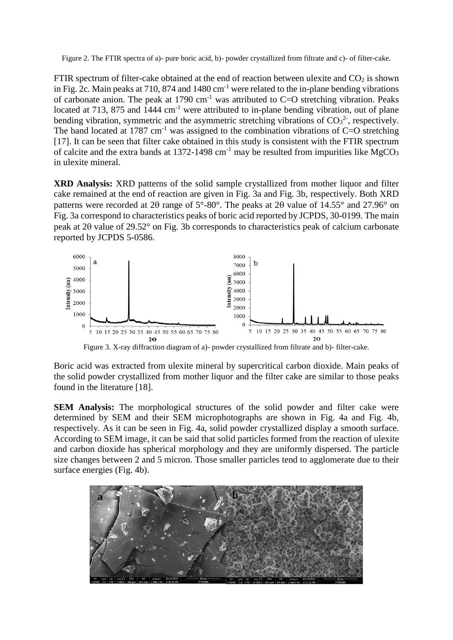Figure 2. The FTIR spectra of a)- pure boric acid, b)- powder crystallized from filtrate and c)- of filter-cake.

FTIR spectrum of filter-cake obtained at the end of reaction between ulexite and  $CO<sub>2</sub>$  is shown in Fig. 2c. Main peaks at 710, 874 and 1480 cm<sup>-1</sup> were related to the in-plane bending vibrations of carbonate anion. The peak at 1790  $cm^{-1}$  was attributed to C=O stretching vibration. Peaks located at 713, 875 and  $1444 \text{ cm}^{-1}$  were attributed to in-plane bending vibration, out of plane bending vibration, symmetric and the asymmetric stretching vibrations of  $CO<sub>3</sub><sup>2</sup>$ , respectively. The band located at 1787 cm<sup>-1</sup> was assigned to the combination vibrations of  $C=O$  stretching [17]. It can be seen that filter cake obtained in this study is consistent with the FTIR spectrum of calcite and the extra bands at 1372-1498 cm<sup>-1</sup> may be resulted from impurities like MgCO<sub>3</sub> in ulexite mineral.

**XRD Analysis:** XRD patterns of the solid sample crystallized from mother liquor and filter cake remained at the end of reaction are given in Fig. 3a and Fig. 3b, respectively. Both XRD patterns were recorded at 20 range of  $5^{\circ}$ -80°. The peaks at 20 value of 14.55° and 27.96° on Fig. 3a correspond to characteristics peaks of boric acid reported by JCPDS, 30-0199. The main peak at 2 $\theta$  value of 29.52 $\degree$  on Fig. 3b corresponds to characteristics peak of calcium carbonate reported by JCPDS 5-0586.



Boric acid was extracted from ulexite mineral by supercritical carbon dioxide. Main peaks of the solid powder crystallized from mother liquor and the filter cake are similar to those peaks found in the literature [18].

**SEM Analysis:** The morphological structures of the solid powder and filter cake were determined by SEM and their SEM microphotographs are shown in Fig. 4a and Fig. 4b, respectively. As it can be seen in Fig. 4a, solid powder crystallized display a smooth surface. According to SEM image, it can be said that solid particles formed from the reaction of ulexite and carbon dioxide has spherical morphology and they are uniformly dispersed. The particle size changes between 2 and 5 micron. Those smaller particles tend to agglomerate due to their surface energies (Fig. 4b).

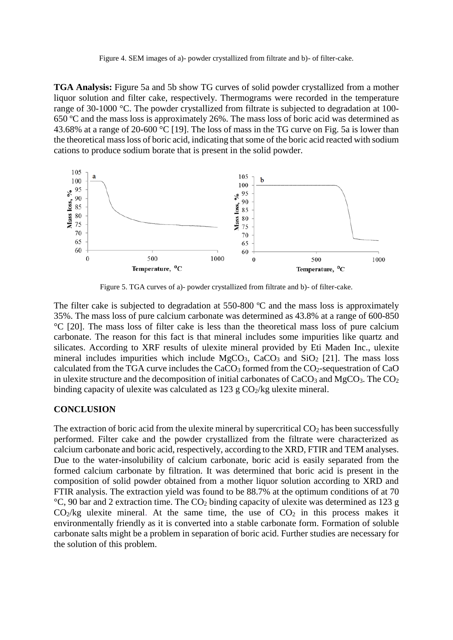Figure 4. SEM images of a)- powder crystallized from filtrate and b)- of filter-cake.

**TGA Analysis:** Figure 5a and 5b show TG curves of solid powder crystallized from a mother liquor solution and filter cake, respectively. Thermograms were recorded in the temperature range of 30-1000 °C. The powder crystallized from filtrate is subjected to degradation at 100- 650 ºC and the mass loss is approximately 26%. The mass loss of boric acid was determined as 43.68% at a range of 20-600 °C [19]. The loss of mass in the TG curve on Fig. 5a is lower than the theoretical mass loss of boric acid, indicating that some of the boric acid reacted with sodium cations to produce sodium borate that is present in the solid powder.



Figure 5. TGA curves of a)- powder crystallized from filtrate and b)- of filter-cake.

The filter cake is subjected to degradation at 550-800 °C and the mass loss is approximately 35%. The mass loss of pure calcium carbonate was determined as 43.8% at a range of 600-850 °C [20]. The mass loss of filter cake is less than the theoretical mass loss of pure calcium carbonate. The reason for this fact is that mineral includes some impurities like quartz and silicates. According to XRF results of ulexite mineral provided by Eti Maden Inc., ulexite mineral includes impurities which include  $MgCO<sub>3</sub>$ , CaCO<sub>3</sub> and SiO<sub>2</sub> [21]. The mass loss calculated from the TGA curve includes the  $CaCO<sub>3</sub>$  formed from the  $CO<sub>2</sub>$ -sequestration of  $CaO$ in ulexite structure and the decomposition of initial carbonates of  $CaCO<sub>3</sub>$  and MgCO<sub>3</sub>. The CO<sub>2</sub> binding capacity of ulexite was calculated as  $123 \text{ g } CO_2/\text{kg}$  ulexite mineral.

#### **CONCLUSION**

The extraction of boric acid from the ulexite mineral by supercritical  $CO<sub>2</sub>$  has been successfully performed. Filter cake and the powder crystallized from the filtrate were characterized as calcium carbonate and boric acid, respectively, according to the XRD, FTIR and TEM analyses. Due to the water-insolubility of calcium carbonate, boric acid is easily separated from the formed calcium carbonate by filtration. It was determined that boric acid is present in the composition of solid powder obtained from a mother liquor solution according to XRD and FTIR analysis. The extraction yield was found to be 88.7% at the optimum conditions of at 70  $°C$ , 90 bar and 2 extraction time. The CO<sub>2</sub> binding capacity of ulexite was determined as 123 g  $CO<sub>2</sub>/kg$  ulexite mineral. At the same time, the use of  $CO<sub>2</sub>$  in this process makes it environmentally friendly as it is converted into a stable carbonate form. Formation of soluble carbonate salts might be a problem in separation of boric acid. Further studies are necessary for the solution of this problem.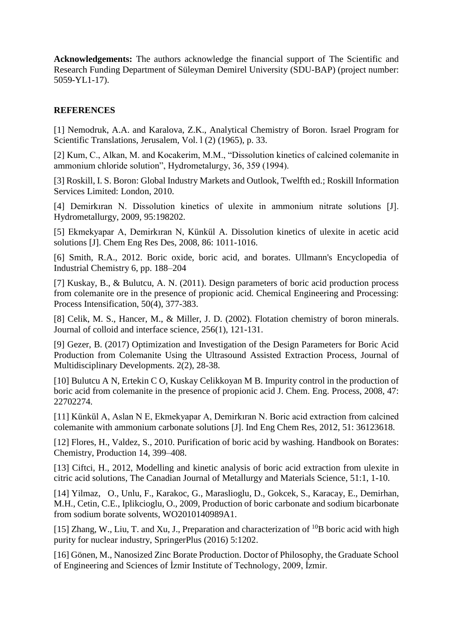**Acknowledgements:** The authors acknowledge the financial support of The Scientific and Research Funding Department of Süleyman Demirel University (SDU-BAP) (project number: 5059-YL1-17).

# **REFERENCES**

[1] Nemodruk, A.A. and Karalova, Z.K., Analytical Chemistry of Boron. Israel Program for Scientific Translations, Jerusalem, Vol. l (2) (1965), p. 33.

[2] Kum, C., Alkan, M. and Kocakerim, M.M., "Dissolution kinetics of calcined colemanite in ammonium chloride solution", Hydrometalurgy, 36, 359 (1994).

[3] Roskill, I. S. Boron: Global Industry Markets and Outlook, Twelfth ed.; Roskill Information Services Limited: London, 2010.

[4] Demirkıran N. Dissolution kinetics of ulexite in ammonium nitrate solutions [J]. Hydrometallurgy, 2009, 95:198202.

[5] Ekmekyapar A, Demirkıran N, Künkül A. Dissolution kinetics of ulexite in acetic acid solutions [J]. Chem Eng Res Des, 2008, 86: 1011-1016.

[6] Smith, R.A., 2012. Boric oxide, boric acid, and borates. Ullmann's Encyclopedia of Industrial Chemistry 6, pp. 188–204

[7] Kuskay, B., & Bulutcu, A. N. (2011). Design parameters of boric acid production process from colemanite ore in the presence of propionic acid. Chemical Engineering and Processing: Process Intensification, 50(4), 377-383.

[8] Celik, M. S., Hancer, M., & Miller, J. D. (2002). Flotation chemistry of boron minerals. Journal of colloid and interface science, 256(1), 121-131.

[9] Gezer, B. (2017) Optimization and Investigation of the Design Parameters for Boric Acid Production from Colemanite Using the Ultrasound Assisted Extraction Process, Journal of Multidisciplinary Developments. 2(2), 28-38.

[10] Bulutcu A N, Ertekin C O, Kuskay Celikkoyan M B. Impurity control in the production of boric acid from colemanite in the presence of propionic acid J. Chem. Eng. Process, 2008, 47: 22702274.

[11] Künkül A, Aslan N E, Ekmekyapar A, Demirkıran N. Boric acid extraction from calcined colemanite with ammonium carbonate solutions [J]. Ind Eng Chem Res, 2012, 51: 36123618.

[12] Flores, H., Valdez, S., 2010. Purification of boric acid by washing. Handbook on Borates: Chemistry, Production 14, 399–408.

[13] Ciftci, H., 2012, Modelling and kinetic analysis of boric acid extraction from ulexite in citric acid solutions, The Canadian Journal of Metallurgy and Materials Science, 51:1, 1-10.

[14] Yilmaz, O., Unlu, F., Karakoc, G., Maraslioglu, D., Gokcek, S., Karacay, E., Demirhan, M.H., Cetin, C.E., Iplikcioglu, O., 2009, Production of boric carbonate and sodium bicarbonate from sodium borate solvents, WO2010140989A1.

[15] Zhang, W., Liu, T. and Xu, J., Preparation and characterization of  $^{10}B$  boric acid with high purity for nuclear industry, SpringerPlus (2016) 5:1202.

[16] Gönen, M., Nanosized Zinc Borate Production. Doctor of Philosophy, the Graduate School of Engineering and Sciences of İzmir Institute of Technology, 2009, İzmir.